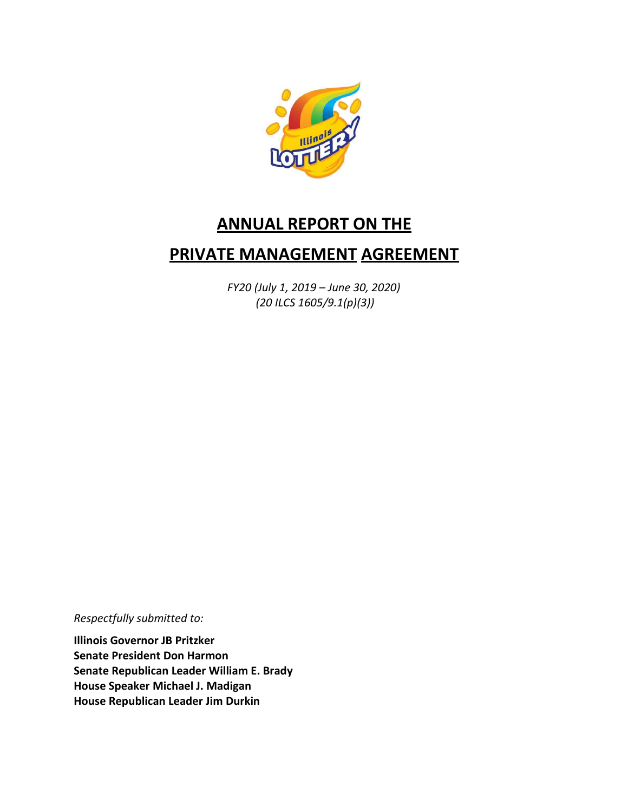

# **ANNUAL REPORT ON THE**

## **PRIVATE MANAGEMENT AGREEMENT**

*FY20 (July 1, 2019 – June 30, 2020) (20 ILCS 1605/9.1(p)(3))*

*Respectfully submitted to:*

**Illinois Governor JB Pritzker Senate President Don Harmon Senate Republican Leader William E. Brady House Speaker Michael J. Madigan House Republican Leader Jim Durkin**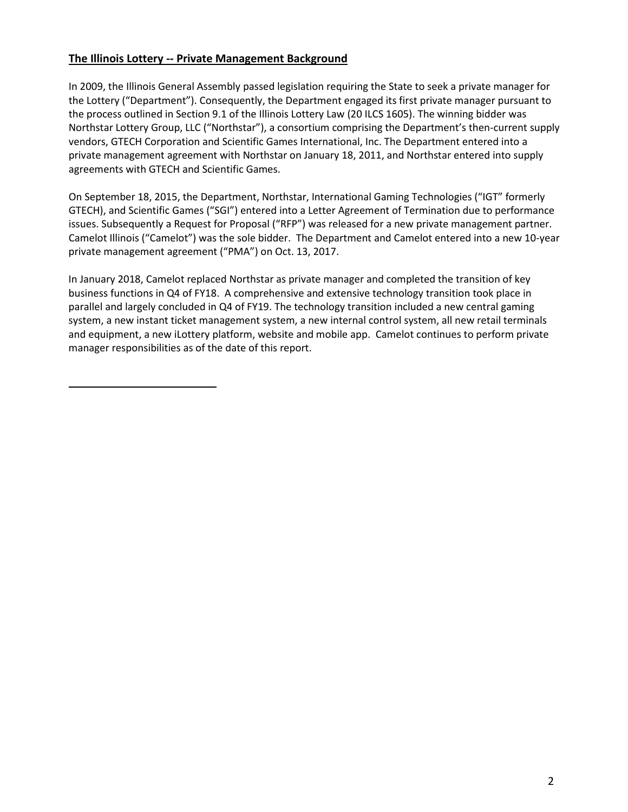### **The Illinois Lottery -- Private Management Background**

In 2009, the Illinois General Assembly passed legislation requiring the State to seek a private manager for the Lottery ("Department"). Consequently, the Department engaged its first private manager pursuant to the process outlined in Section 9.1 of the Illinois Lottery Law (20 ILCS 1605). The winning bidder was Northstar Lottery Group, LLC ("Northstar"), a consortium comprising the Department's then-current supply vendors, GTECH Corporation and Scientific Games International, Inc. The Department entered into a private management agreement with Northstar on January 18, 2011, and Northstar entered into supply agreements with GTECH and Scientific Games.

On September 18, 2015, the Department, Northstar, International Gaming Technologies ("IGT" formerly GTECH), and Scientific Games ("SGI") entered into a Letter Agreement of Termination due to performance issues. Subsequently a Request for Proposal ("RFP") was released for a new private management partner. Camelot Illinois ("Camelot") was the sole bidder. The Department and Camelot entered into a new 10-year private management agreement ("PMA") on Oct. 13, 2017.

In January 2018, Camelot replaced Northstar as private manager and completed the transition of key business functions in Q4 of FY18. A comprehensive and extensive technology transition took place in parallel and largely concluded in Q4 of FY19. The technology transition included a new central gaming system, a new instant ticket management system, a new internal control system, all new retail terminals and equipment, a new iLottery platform, website and mobile app. Camelot continues to perform private manager responsibilities as of the date of this report.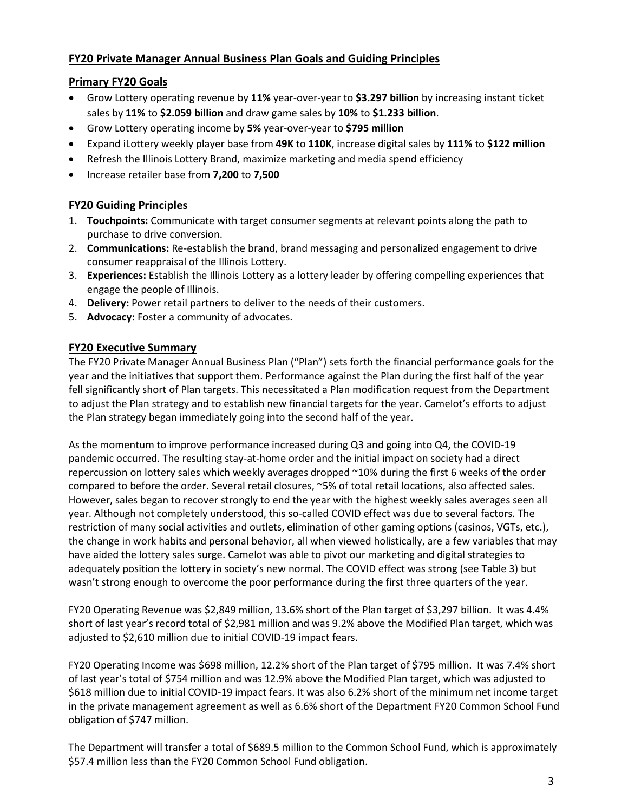## **FY20 Private Manager Annual Business Plan Goals and Guiding Principles**

#### **Primary FY20 Goals**

- Grow Lottery operating revenue by **11%** year-over-year to **\$3.297 billion** by increasing instant ticket sales by **11%** to **\$2.059 billion** and draw game sales by **10%** to **\$1.233 billion**.
- Grow Lottery operating income by **5%** year-over-year to **\$795 million**
- Expand iLottery weekly player base from **49K** to **110K**, increase digital sales by **111%** to **\$122 million**
- Refresh the Illinois Lottery Brand, maximize marketing and media spend efficiency
- Increase retailer base from **7,200** to **7,500**

## **FY20 Guiding Principles**

- 1. **Touchpoints:** Communicate with target consumer segments at relevant points along the path to purchase to drive conversion.
- 2. **Communications:** Re-establish the brand, brand messaging and personalized engagement to drive consumer reappraisal of the Illinois Lottery.
- 3. **Experiences:** Establish the Illinois Lottery as a lottery leader by offering compelling experiences that engage the people of Illinois.
- 4. **Delivery:** Power retail partners to deliver to the needs of their customers.
- 5. **Advocacy:** Foster a community of advocates.

#### **FY20 Executive Summary**

The FY20 Private Manager Annual Business Plan ("Plan") sets forth the financial performance goals for the year and the initiatives that support them. Performance against the Plan during the first half of the year fell significantly short of Plan targets. This necessitated a Plan modification request from the Department to adjust the Plan strategy and to establish new financial targets for the year. Camelot's efforts to adjust the Plan strategy began immediately going into the second half of the year.

As the momentum to improve performance increased during Q3 and going into Q4, the COVID-19 pandemic occurred. The resulting stay-at-home order and the initial impact on society had a direct repercussion on lottery sales which weekly averages dropped ~10% during the first 6 weeks of the order compared to before the order. Several retail closures, ~5% of total retail locations, also affected sales. However, sales began to recover strongly to end the year with the highest weekly sales averages seen all year. Although not completely understood, this so-called COVID effect was due to several factors. The restriction of many social activities and outlets, elimination of other gaming options (casinos, VGTs, etc.), the change in work habits and personal behavior, all when viewed holistically, are a few variables that may have aided the lottery sales surge. Camelot was able to pivot our marketing and digital strategies to adequately position the lottery in society's new normal. The COVID effect was strong (see Table 3) but wasn't strong enough to overcome the poor performance during the first three quarters of the year.

FY20 Operating Revenue was \$2,849 million, 13.6% short of the Plan target of \$3,297 billion. It was 4.4% short of last year's record total of \$2,981 million and was 9.2% above the Modified Plan target, which was adjusted to \$2,610 million due to initial COVID-19 impact fears.

FY20 Operating Income was \$698 million, 12.2% short of the Plan target of \$795 million. It was 7.4% short of last year's total of \$754 million and was 12.9% above the Modified Plan target, which was adjusted to \$618 million due to initial COVID-19 impact fears. It was also 6.2% short of the minimum net income target in the private management agreement as well as 6.6% short of the Department FY20 Common School Fund obligation of \$747 million.

The Department will transfer a total of \$689.5 million to the Common School Fund, which is approximately \$57.4 million less than the FY20 Common School Fund obligation.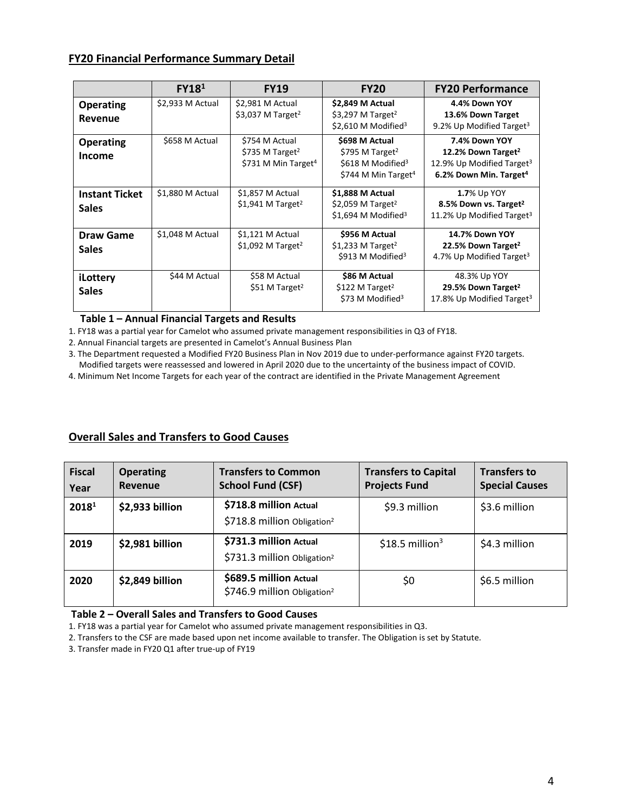#### **FY20 Financial Performance Summary Detail**

|                                       | FY18 <sup>1</sup> | <b>FY19</b>                                                                      | <b>FY20</b>                                                                                                       | <b>FY20 Performance</b>                                                                                                        |
|---------------------------------------|-------------------|----------------------------------------------------------------------------------|-------------------------------------------------------------------------------------------------------------------|--------------------------------------------------------------------------------------------------------------------------------|
| <b>Operating</b><br>Revenue           | \$2,933 M Actual  | \$2,981 M Actual<br>\$3,037 M Target <sup>2</sup>                                | \$2,849 M Actual<br>\$3,297 M Target <sup>2</sup><br>\$2,610 M Modified <sup>3</sup>                              | 4.4% Down YOY<br>13.6% Down Target<br>9.2% Up Modified Target <sup>3</sup>                                                     |
| <b>Operating</b><br><b>Income</b>     | \$658 M Actual    | \$754 M Actual<br>\$735 M Target <sup>2</sup><br>\$731 M Min Target <sup>4</sup> | \$698 M Actual<br>\$795 M Target <sup>2</sup><br>\$618 M Modified <sup>3</sup><br>\$744 M Min Target <sup>4</sup> | 7.4% Down YOY<br>12.2% Down Target <sup>2</sup><br>12.9% Up Modified Target <sup>3</sup><br>6.2% Down Min. Target <sup>4</sup> |
| <b>Instant Ticket</b><br><b>Sales</b> | \$1,880 M Actual  | \$1,857 M Actual<br>$$1,941$ M Target <sup>2</sup>                               | \$1,888 M Actual<br>\$2,059 M Target <sup>2</sup><br>\$1,694 M Modified <sup>3</sup>                              | <b>1.7% Up YOY</b><br>8.5% Down vs. Target <sup>2</sup><br>11.2% Up Modified Target <sup>3</sup>                               |
| <b>Draw Game</b><br><b>Sales</b>      | \$1,048 M Actual  | $$1,121$ M Actual<br>$$1,092$ M Target <sup>2</sup>                              | \$956 M Actual<br>$$1,233$ M Target <sup>2</sup><br>\$913 M Modified <sup>3</sup>                                 | <b>14.7% Down YOY</b><br>22.5% Down Target <sup>2</sup><br>4.7% Up Modified Target <sup>3</sup>                                |
| iLottery<br><b>Sales</b>              | \$44 M Actual     | \$58 M Actual<br>\$51 M Target <sup>2</sup>                                      | \$86 M Actual<br>\$122 M Target <sup>2</sup><br>\$73 M Modified <sup>3</sup>                                      | 48.3% Up YOY<br>29.5% Down Target <sup>2</sup><br>17.8% Up Modified Target <sup>3</sup>                                        |

#### **Table 1 – Annual Financial Targets and Results**

1. FY18 was a partial year for Camelot who assumed private management responsibilities in Q3 of FY18.

2. Annual Financial targets are presented in Camelot's Annual Business Plan

3. The Department requested a Modified FY20 Business Plan in Nov 2019 due to under-performance against FY20 targets. Modified targets were reassessed and lowered in April 2020 due to the uncertainty of the business impact of COVID.

4. Minimum Net Income Targets for each year of the contract are identified in the Private Management Agreement

#### **Overall Sales and Transfers to Good Causes**

| <b>Fiscal</b><br>Year | <b>Operating</b><br>Revenue | <b>Transfers to Common</b><br><b>School Fund (CSF)</b>            | <b>Transfers to Capital</b><br><b>Projects Fund</b> | <b>Transfers to</b><br><b>Special Causes</b> |
|-----------------------|-----------------------------|-------------------------------------------------------------------|-----------------------------------------------------|----------------------------------------------|
| 2018 <sup>1</sup>     | \$2,933 billion             | \$718.8 million Actual<br>\$718.8 million Obligation <sup>2</sup> | \$9.3 million                                       | \$3.6 million                                |
| 2019                  | \$2,981 billion             | \$731.3 million Actual<br>\$731.3 million Obligation <sup>2</sup> | $$18.5$ million <sup>3</sup>                        | \$4.3 million                                |
| 2020                  | \$2,849 billion             | \$689.5 million Actual<br>\$746.9 million Obligation <sup>2</sup> | \$0                                                 | \$6.5 million                                |

**Table 2 – Overall Sales and Transfers to Good Causes**

1. FY18 was a partial year for Camelot who assumed private management responsibilities in Q3.

2. Transfers to the CSF are made based upon net income available to transfer. The Obligation is set by Statute.

3. Transfer made in FY20 Q1 after true-up of FY19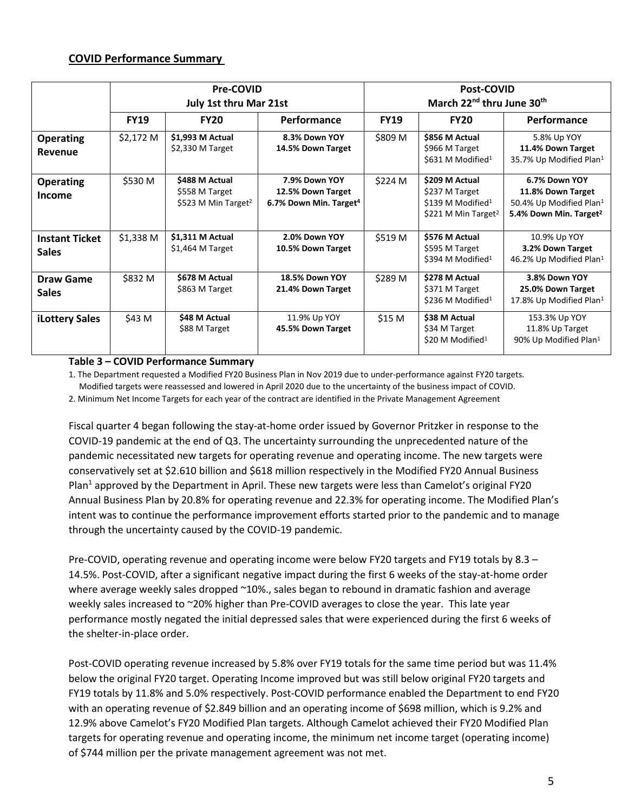#### **COVID Performance Summary**

|                       | <b>Pre-COVID</b>              |                                 |                                    | <b>Post-COVID</b><br>March 22 <sup>nd</sup> thru June 30 <sup>th</sup> |                                                 |                                                          |  |
|-----------------------|-------------------------------|---------------------------------|------------------------------------|------------------------------------------------------------------------|-------------------------------------------------|----------------------------------------------------------|--|
|                       | <b>July 1st thru Mar 21st</b> |                                 |                                    |                                                                        |                                                 |                                                          |  |
|                       | <b>FY19</b>                   | <b>FY20</b>                     | <b>Performance</b>                 | <b>FY19</b>                                                            | <b>FY20</b>                                     | Performance                                              |  |
| <b>Operating</b>      | \$2,172 M                     | \$1,993 M Actual                | 8.3% Down YOY                      | \$809 M                                                                | \$856 M Actual                                  | 5.8% Up YOY                                              |  |
| Revenue               |                               | $$2,330$ M Target               | 14.5% Down Target                  |                                                                        | \$966 M Target<br>\$631 M Modified <sup>1</sup> | 11.4% Down Target<br>35.7% Up Modified Plan <sup>1</sup> |  |
| <b>Operating</b>      | \$530 M                       | \$488 M Actual                  | 7.9% Down YOY                      | \$224 M                                                                | \$209 M Actual                                  | 6.7% Down YOY                                            |  |
| Income                |                               | \$558 M Target                  | 12.5% Down Target                  |                                                                        | \$237 M Target                                  | 11.8% Down Target                                        |  |
|                       |                               | \$523 M Min Target <sup>2</sup> | 6.7% Down Min. Target <sup>4</sup> |                                                                        | \$139 M Modified <sup>1</sup>                   | 50.4% Up Modified Plan <sup>1</sup>                      |  |
|                       |                               |                                 |                                    |                                                                        | \$221 M Min Target <sup>2</sup>                 | 5.4% Down Min. Target <sup>2</sup>                       |  |
| <b>Instant Ticket</b> | $$1,338$ M                    | \$1,311 M Actual                | 2.0% Down YOY                      | \$519 M                                                                | \$576 M Actual                                  | 10.9% Up YOY                                             |  |
| <b>Sales</b>          |                               | $$1,464$ M Target               | 10.5% Down Target                  |                                                                        | \$595 M Target                                  | 3.2% Down Target                                         |  |
|                       |                               |                                 |                                    |                                                                        | \$394 M Modified <sup>1</sup>                   | 46.2% Up Modified Plan <sup>1</sup>                      |  |
| Draw Game             | \$832 M                       | \$678 M Actual                  | <b>18.5% Down YOY</b>              | \$289 M                                                                | \$278 M Actual                                  | 3.8% Down YOY                                            |  |
| <b>Sales</b>          |                               | \$863 M Target                  | 21.4% Down Target                  |                                                                        | \$371 M Target                                  | 25.0% Down Target                                        |  |
|                       |                               |                                 |                                    |                                                                        | \$236 M Modified <sup>1</sup>                   | 17.8% Up Modified Plan <sup>1</sup>                      |  |
| <b>iLottery Sales</b> | \$43 M                        | \$48 M Actual                   | 11.9% Up YOY                       | \$15 M                                                                 | \$38 M Actual                                   | 153.3% Up YOY                                            |  |
|                       |                               | \$88 M Target                   | 45.5% Down Target                  |                                                                        | \$34 M Target                                   | 11.8% Up Target                                          |  |
|                       |                               |                                 |                                    |                                                                        | \$20 M Modified <sup>1</sup>                    | 90% Up Modified Plan <sup>1</sup>                        |  |

#### **Table 3 – COVID Performance Summary**

1. The Department requested a Modified FY20 Business Plan in Nov 2019 due to under-performance against FY20 targets. Modified targets were reassessed and lowered in April 2020 due to the uncertainty of the business impact of COVID. 2. Minimum Net Income Targets for each year of the contract are identified in the Private Management Agreement

Fiscal quarter 4 began following the stay-at-home order issued by Governor Pritzker in response to the COVID-19 pandemic at the end of Q3. The uncertainty surrounding the unprecedented nature of the pandemic necessitated new targets for operating revenue and operating income. The new targets were conservatively set at \$2.610 billion and \$618 million respectively in the Modified FY20 Annual Business Plan<sup>1</sup> approved by the Department in April. These new targets were less than Camelot's original FY20 Annual Business Plan by 20.8% for operating revenue and 22.3% for operating income. The Modified Plan's intent was to continue the performance improvement efforts started prior to the pandemic and to manage through the uncertainty caused by the COVID-19 pandemic.

Pre-COVID, operating revenue and operating income were below FY20 targets and FY19 totals by 8.3 – 14.5%. Post-COVID, after a significant negative impact during the first 6 weeks of the stay-at-home order where average weekly sales dropped ~10%., sales began to rebound in dramatic fashion and average weekly sales increased to ~20% higher than Pre-COVID averages to close the year. This late year performance mostly negated the initial depressed sales that were experienced during the first 6 weeks of the shelter-in-place order.

Post-COVID operating revenue increased by 5.8% over FY19 totals for the same time period but was 11.4% below the original FY20 target. Operating Income improved but was still below original FY20 targets and FY19 totals by 11.8% and 5.0% respectively. Post-COVID performance enabled the Department to end FY20 with an operating revenue of \$2.849 billion and an operating income of \$698 million, which is 9.2% and 12.9% above Camelot's FY20 Modified Plan targets. Although Camelot achieved their FY20 Modified Plan targets for operating revenue and operating income, the minimum net income target (operating income) of \$744 million per the private management agreement was not met.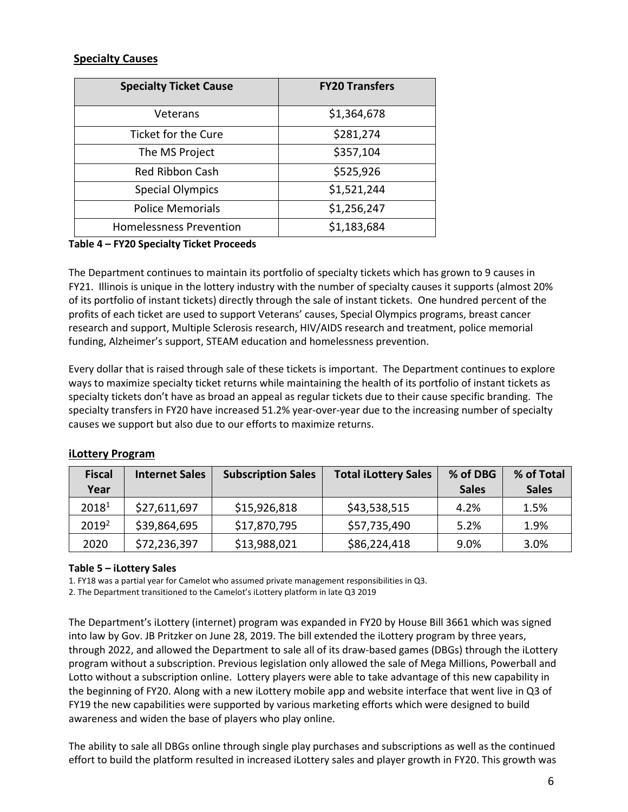#### **Specialty Causes**

| <b>Specialty Ticket Cause</b>  | <b>FY20 Transfers</b> |
|--------------------------------|-----------------------|
| Veterans                       | \$1,364,678           |
| Ticket for the Cure            | \$281,274             |
| The MS Project                 | \$357,104             |
| <b>Red Ribbon Cash</b>         | \$525,926             |
| <b>Special Olympics</b>        | \$1,521,244           |
| <b>Police Memorials</b>        | \$1,256,247           |
| <b>Homelessness Prevention</b> | \$1,183,684           |

#### **Table 4 – FY20 Specialty Ticket Proceeds**

The Department continues to maintain its portfolio of specialty tickets which has grown to 9 causes in FY21. Illinois is unique in the lottery industry with the number of specialty causes it supports (almost 20% of its portfolio of instant tickets) directly through the sale of instant tickets. One hundred percent of the profits of each ticket are used to support Veterans' causes, Special Olympics programs, breast cancer research and support, Multiple Sclerosis research, HIV/AIDS research and treatment, police memorial funding, Alzheimer's support, STEAM education and homelessness prevention.

Every dollar that is raised through sale of these tickets is important. The Department continues to explore ways to maximize specialty ticket returns while maintaining the health of its portfolio of instant tickets as specialty tickets don't have as broad an appeal as regular tickets due to their cause specific branding. The specialty transfers in FY20 have increased 51.2% year-over-year due to the increasing number of specialty causes we support but also due to our efforts to maximize returns.

| <b>Fiscal</b>     | <b>Internet Sales</b> | <b>Subscription Sales</b> | <b>Total iLottery Sales</b> | % of DBG     | % of Total   |
|-------------------|-----------------------|---------------------------|-----------------------------|--------------|--------------|
| Year              |                       |                           |                             | <b>Sales</b> | <b>Sales</b> |
| 20181             | \$27,611,697          | \$15,926,818              | \$43,538,515                | 4.2%         | 1.5%         |
| 2019 <sup>2</sup> | \$39,864,695          | \$17,870,795              | \$57,735,490                | 5.2%         | 1.9%         |
| 2020              | \$72,236,397          | \$13,988,021              | \$86,224,418                | 9.0%         | 3.0%         |

#### **iLottery Program**

#### **Table 5 – iLottery Sales**

1. FY18 was a partial year for Camelot who assumed private management responsibilities in Q3.

2. The Department transitioned to the Camelot's iLottery platform in late Q3 2019

The Department's iLottery (internet) program was expanded in FY20 by House Bill 3661 which was signed into law by Gov. JB Pritzker on June 28, 2019. The bill extended the iLottery program by three years, through 2022, and allowed the Department to sale all of its draw-based games (DBGs) through the iLottery program without a subscription. Previous legislation only allowed the sale of Mega Millions, Powerball and Lotto without a subscription online. Lottery players were able to take advantage of this new capability in the beginning of FY20. Along with a new iLottery mobile app and website interface that went live in Q3 of FY19 the new capabilities were supported by various marketing efforts which were designed to build awareness and widen the base of players who play online.

The ability to sale all DBGs online through single play purchases and subscriptions as well as the continued effort to build the platform resulted in increased iLottery sales and player growth in FY20. This growth was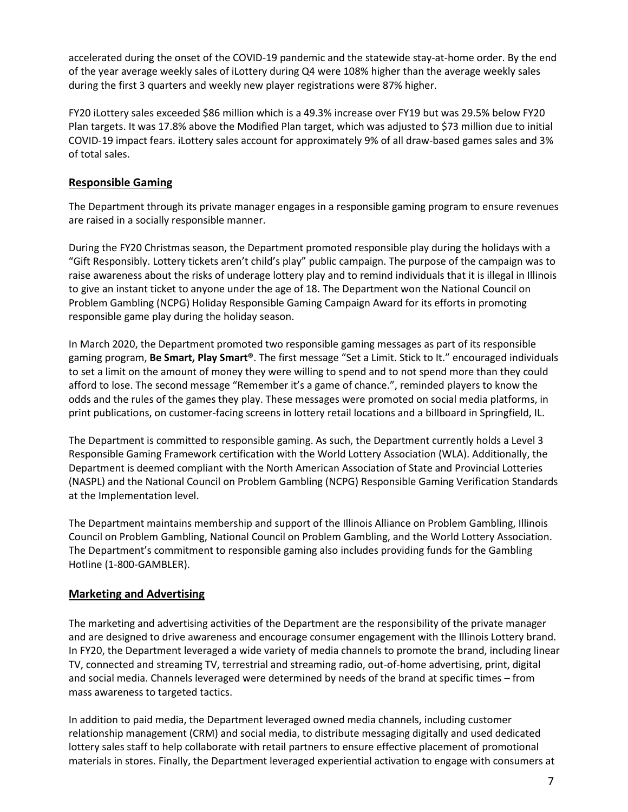accelerated during the onset of the COVID-19 pandemic and the statewide stay-at-home order. By the end of the year average weekly sales of iLottery during Q4 were 108% higher than the average weekly sales during the first 3 quarters and weekly new player registrations were 87% higher.

FY20 iLottery sales exceeded \$86 million which is a 49.3% increase over FY19 but was 29.5% below FY20 Plan targets. It was 17.8% above the Modified Plan target, which was adjusted to \$73 million due to initial COVID-19 impact fears. iLottery sales account for approximately 9% of all draw-based games sales and 3% of total sales.

#### **Responsible Gaming**

The Department through its private manager engages in a responsible gaming program to ensure revenues are raised in a socially responsible manner.

During the FY20 Christmas season, the Department promoted responsible play during the holidays with a "Gift Responsibly. Lottery tickets aren't child's play" public campaign. The purpose of the campaign was to raise awareness about the risks of underage lottery play and to remind individuals that it is illegal in Illinois to give an instant ticket to anyone under the age of 18. The Department won the National Council on Problem Gambling (NCPG) Holiday Responsible Gaming Campaign Award for its efforts in promoting responsible game play during the holiday season.

In March 2020, the Department promoted two responsible gaming messages as part of its responsible gaming program, **Be Smart, Play Smart®**. The first message "Set a Limit. Stick to It." encouraged individuals to set a limit on the amount of money they were willing to spend and to not spend more than they could afford to lose. The second message "Remember it's a game of chance.", reminded players to know the odds and the rules of the games they play. These messages were promoted on social media platforms, in print publications, on customer-facing screens in lottery retail locations and a billboard in Springfield, IL.

The Department is committed to responsible gaming. As such, the Department currently holds a Level 3 Responsible Gaming Framework certification with the World Lottery Association (WLA). Additionally, the Department is deemed compliant with the North American Association of State and Provincial Lotteries (NASPL) and the National Council on Problem Gambling (NCPG) Responsible Gaming Verification Standards at the Implementation level.

The Department maintains membership and support of the Illinois Alliance on Problem Gambling, Illinois Council on Problem Gambling, National Council on Problem Gambling, and the World Lottery Association. The Department's commitment to responsible gaming also includes providing funds for the Gambling Hotline (1-800-GAMBLER).

#### **Marketing and Advertising**

The marketing and advertising activities of the Department are the responsibility of the private manager and are designed to drive awareness and encourage consumer engagement with the Illinois Lottery brand. In FY20, the Department leveraged a wide variety of media channels to promote the brand, including linear TV, connected and streaming TV, terrestrial and streaming radio, out-of-home advertising, print, digital and social media. Channels leveraged were determined by needs of the brand at specific times – from mass awareness to targeted tactics.

In addition to paid media, the Department leveraged owned media channels, including customer relationship management (CRM) and social media, to distribute messaging digitally and used dedicated lottery sales staff to help collaborate with retail partners to ensure effective placement of promotional materials in stores. Finally, the Department leveraged experiential activation to engage with consumers at